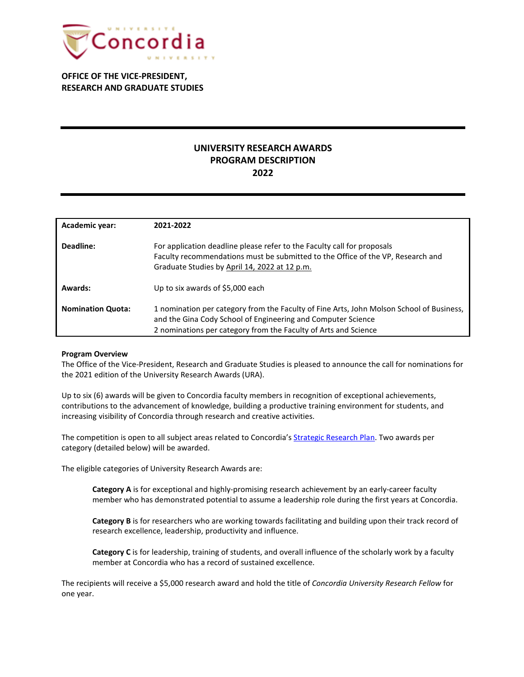

**OFFICE OF THE VICE-PRESIDENT, RESEARCH AND GRADUATE STUDIES**

# **UNIVERSITY RESEARCH AWARDS PROGRAM DESCRIPTION 2022**

| Academic year:           | 2021-2022                                                                                                                                                                                                                   |
|--------------------------|-----------------------------------------------------------------------------------------------------------------------------------------------------------------------------------------------------------------------------|
| Deadline:                | For application deadline please refer to the Faculty call for proposals<br>Faculty recommendations must be submitted to the Office of the VP, Research and<br>Graduate Studies by April 14, 2022 at 12 p.m.                 |
| Awards:                  | Up to six awards of \$5,000 each                                                                                                                                                                                            |
| <b>Nomination Quota:</b> | 1 nomination per category from the Faculty of Fine Arts, John Molson School of Business,<br>and the Gina Cody School of Engineering and Computer Science<br>2 nominations per category from the Faculty of Arts and Science |

### **Program Overview**

The Office of the Vice-President, Research and Graduate Studies is pleased to announce the call for nominations for the 2021 edition of the University Research Awards (URA).

Up to six (6) awards will be given to Concordia faculty members in recognition of exceptional achievements, contributions to the advancement of knowledge, building a productive training environment for students, and increasing visibility of Concordia through research and creative activities.

The competition is open to all subject areas related to Concordia's [Strategic Research Plan.](https://www.concordia.ca/research/strategic-research-plan.html) Two awards per category (detailed below) will be awarded.

The eligible categories of University Research Awards are:

**Category A** is for exceptional and highly-promising research achievement by an early-career faculty member who has demonstrated potential to assume a leadership role during the first years at Concordia.

**Category B** is for researchers who are working towards facilitating and building upon their track record of research excellence, leadership, productivity and influence.

**Category C** is for leadership, training of students, and overall influence of the scholarly work by a faculty member at Concordia who has a record of sustained excellence.

The recipients will receive a \$5,000 research award and hold the title of *Concordia University Research Fellow* for one year.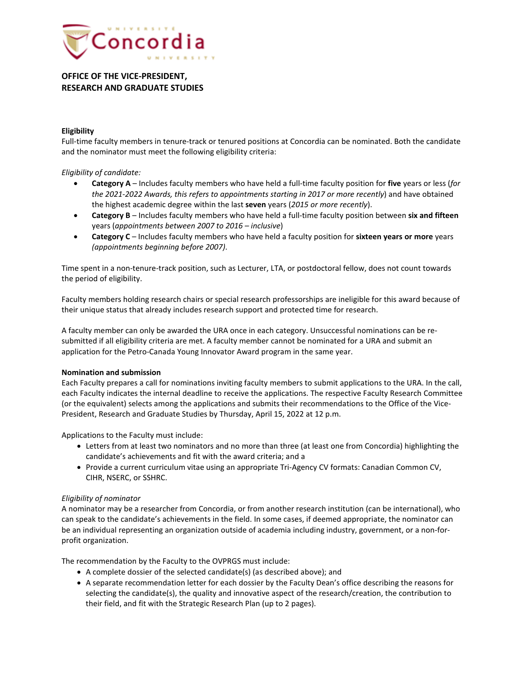

## **OFFICE OF THE VICE-PRESIDENT, RESEARCH AND GRADUATE STUDIES**

## **Eligibility**

Full-time faculty members in tenure-track or tenured positions at Concordia can be nominated. Both the candidate and the nominator must meet the following eligibility criteria:

## *Eligibility of candidate:*

- **Category A** Includes faculty members who have held a full-time faculty position for **five** years or less (*for the 2021-2022 Awards, this refers to appointments starting in 2017 or more recently*) and have obtained the highest academic degree within the last **seven** years (*2015 or more recently*).
- **Category B** Includes faculty members who have held a full-time faculty position between **six and fifteen** years (*appointments between 2007 to 2016 – inclusive*)
- **Category C** Includes faculty members who have held a faculty position for **sixteen years or more** years *(appointments beginning before 2007)*.

Time spent in a non-tenure-track position, such as Lecturer, LTA, or postdoctoral fellow, does not count towards the period of eligibility.

Faculty members holding research chairs or special research professorships are ineligible for this award because of their unique status that already includes research support and protected time for research.

A faculty member can only be awarded the URA once in each category. Unsuccessful nominations can be resubmitted if all eligibility criteria are met. A faculty member cannot be nominated for a URA and submit an application for the Petro-Canada Young Innovator Award program in the same year.

### **Nomination and submission**

Each Faculty prepares a call for nominations inviting faculty members to submit applications to the URA. In the call, each Faculty indicates the internal deadline to receive the applications. The respective Faculty Research Committee (or the equivalent) selects among the applications and submits their recommendations to the Office of the Vice-President, Research and Graduate Studies by Thursday, April 15, 2022 at 12 p.m.

Applications to the Faculty must include:

- Letters from at least two nominators and no more than three (at least one from Concordia) highlighting the candidate's achievements and fit with the award criteria; and a
- Provide a current curriculum vitae using an appropriate Tri-Agency CV formats: Canadian Common CV, CIHR, NSERC, or SSHRC.

## *Eligibility of nominator*

A nominator may be a researcher from Concordia, or from another research institution (can be international), who can speak to the candidate's achievements in the field. In some cases, if deemed appropriate, the nominator can be an individual representing an organization outside of academia including industry, government, or a non-forprofit organization.

The recommendation by the Faculty to the OVPRGS must include:

- A complete dossier of the selected candidate(s) (as described above); and
- A separate recommendation letter for each dossier by the Faculty Dean's office describing the reasons for selecting the candidate(s), the quality and innovative aspect of the research/creation, the contribution to their field, and fit with the Strategic Research Plan (up to 2 pages).